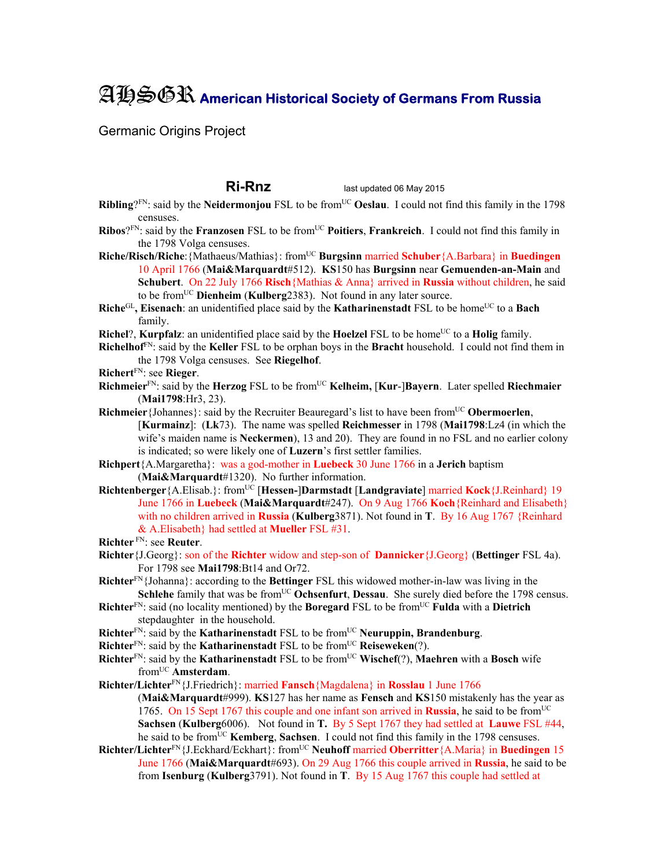## AHSGR **American Historical Society of Germans From Russia**

Germanic Origins Project

**Ri-Rnz** last updated 06 May 2015

- **Ribling**?<sup>FN</sup>: said by the **Neidermonjou** FSL to be from<sup>UC</sup> **Oeslau**. I could not find this family in the 1798 censuses.
- **Ribos**?<sup>FN</sup>: said by the **Franzosen** FSL to be from<sup>UC</sup> **Poitiers**, **Frankreich**. I could not find this family in the 1798 Volga censuses.
- **Riche/Risch/Riche:**{Mathaeus/Mathias}: from<sup>UC</sup> **Burgsinn** married **Schuber**{A.Barbara} in **Buedingen** 10 April 1766 (**Mai&Marquardt**#512). **KS**150 has **Burgsinn** near **Gemuenden-an-Main** and **Schubert**. On 22 July 1766 **Risch**{Mathias & Anna} arrived in **Russia** without children, he said to be fromUC **Dienheim** (**Kulberg**2383). Not found in any later source.
- **Riche**<sup>GL</sup>, Eisenach: an unidentified place said by the **Katharinenstadt** FSL to be home<sup>UC</sup> to a **Bach** family.
- **Richel**?, **Kurpfalz**: an unidentified place said by the **Hoelzel** FSL to be home<sup>UC</sup> to a **Holig** family.
- **Richelhof**FN: said by the **Keller** FSL to be orphan boys in the **Bracht** household. I could not find them in the 1798 Volga censuses. See **Riegelhof**.
- **Richert**FN: see **Rieger**.
- **Richmeier**FN: said by the **Herzog** FSL to be fromUC **Kelheim,** [**Kur**-]**Bayern**. Later spelled **Riechmaier** (**Mai1798**:Hr3, 23).
- **Richmeier**{Johannes}: said by the Recruiter Beauregard's list to have been fromUC **Obermoerlen**, [**Kurmainz**]: (**Lk**73). The name was spelled **Reichmesser** in 1798 (**Mai1798**:Lz4 (in which the wife's maiden name is **Neckermen**), 13 and 20). They are found in no FSL and no earlier colony is indicated; so were likely one of **Luzern**'s first settler families.
- **Richpert**{A.Margaretha}: was a god-mother in **Luebeck** 30 June 1766 in a **Jerich** baptism (**Mai&Marquardt**#1320). No further information.
- **Richtenberger**{A.Elisab.}: fromUC [**Hessen-**]**Darmstadt** [**Landgraviate**] married **Kock**{J.Reinhard} 19 June 1766 in **Luebeck** (**Mai&Marquardt**#247). On 9 Aug 1766 **Koch**{Reinhard and Elisabeth} with no children arrived in **Russia** (**Kulberg**3871). Not found in **T**. By 16 Aug 1767 {Reinhard & A.Elisabeth} had settled at **Mueller** FSL #31.
- **Richter** FN: see **Reuter**.
- **Richter**{J.Georg}: son of the **Richter** widow and step-son of **Dannicker**{J.Georg} (**Bettinger** FSL 4a). For 1798 see **Mai1798**:Bt14 and Or72.
- **Richter**FN{Johanna}: according to the **Bettinger** FSL this widowed mother-in-law was living in the **Schlehe** family that was be from<sup>UC</sup> Ochsenfurt, Dessau. She surely died before the 1798 census.
- **Richter**FN: said (no locality mentioned) by the **Boregard** FSL to be fromUC **Fulda** with a **Dietrich** stepdaughter in the household.
- **Richter**<sup>FN</sup>: said by the **Katharinenstadt** FSL to be from<sup>UC</sup> **Neuruppin, Brandenburg**.
- **Richter**<sup>FN</sup>: said by the **Katharinenstadt** FSL to be from<sup>UC</sup> **Reiseweken**(?).
- **Richter**<sup>FN</sup>: said by the **Katharinenstadt** FSL to be from<sup>UC</sup> **Wischef**(?), **Maehren** with a **Bosch** wife fromUC **Amsterdam**.
- **Richter/Lichter**FN{J.Friedrich}: married **Fansch**{Magdalena} in **Rosslau** 1 June 1766 (**Mai&Marquardt**#999). **KS**127 has her name as **Fensch** and **KS**150 mistakenly has the year as 1765. On 15 Sept 1767 this couple and one infant son arrived in **Russia**, he said to be fromUC **Sachsen** (**Kulberg**6006). Not found in **T.** By 5 Sept 1767 they had settled at **Lauwe** FSL #44, he said to be from<sup>UC</sup> **Kemberg**, **Sachsen**. I could not find this family in the 1798 censuses.
- **Richter/Lichter**FN{J.Eckhard/Eckhart}: fromUC **Neuhoff** married **Oberritter**{A.Maria} in **Buedingen** 15 June 1766 (**Mai&Marquardt**#693). On 29 Aug 1766 this couple arrived in **Russia**, he said to be from **Isenburg** (**Kulberg**3791). Not found in **T**. By 15 Aug 1767 this couple had settled at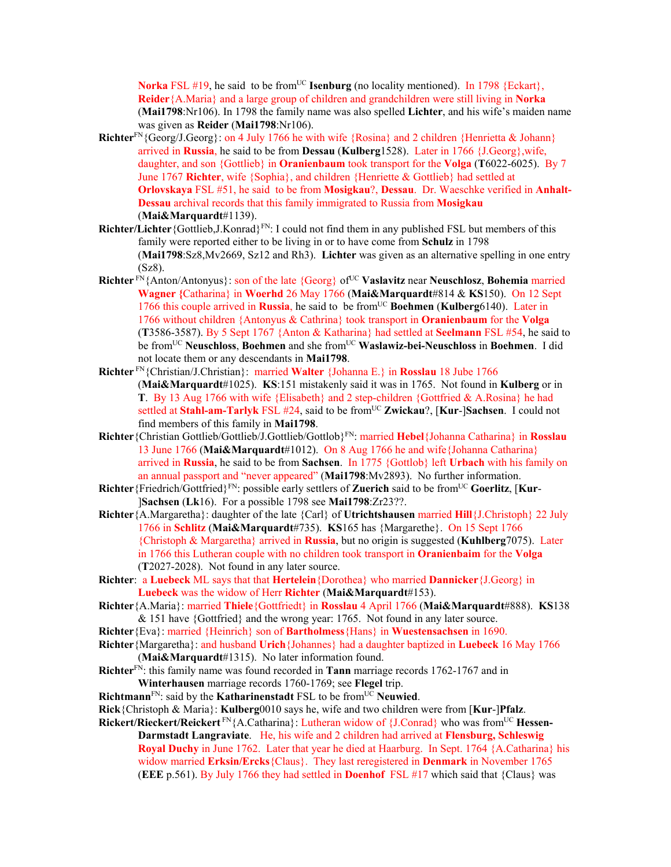**Norka** FSL #19, he said to be from<sup>UC</sup> **Isenburg** (no locality mentioned). In 1798 {Eckart}, **Reider**{A.Maria} and a large group of children and grandchildren were still living in **Norka**  (**Mai1798**:Nr106). In 1798 the family name was also spelled **Lichter**, and his wife's maiden name was given as **Reider** (**Mai1798**:Nr106).

- Richter<sup>FN</sup>{Georg/J.Georg}: on 4 July 1766 he with wife {Rosina} and 2 children {Henrietta & Johann} arrived in **Russia**, he said to be from **Dessau** (**Kulberg**1528). Later in 1766 {J.Georg},wife, daughter, and son {Gottlieb} in **Oranienbaum** took transport for the **Volga** (**T**6022-6025). By 7 June 1767 **Richter**, wife {Sophia}, and children {Henriette & Gottlieb} had settled at **Orlovskaya** FSL #51, he said to be from **Mosigkau**?, **Dessau**. Dr. Waeschke verified in **Anhalt-Dessau** archival records that this family immigrated to Russia from **Mosigkau** (**Mai&Marquardt**#1139).
- **Richter/Lichter** {Gottlieb,J.Konrad}<sup>FN</sup>: I could not find them in any published FSL but members of this family were reported either to be living in or to have come from **Schulz** in 1798 (**Mai1798**:Sz8,Mv2669, Sz12 and Rh3). **Lichter** was given as an alternative spelling in one entry (Sz8).
- **Richter** FN{Anton/Antonyus}: son of the late {Georg} of<sup>UC</sup> **Vaslavitz** near **Neuschlosz**, **Bohemia** married **Wagner {**Catharina} in **Woerhd** 26 May 1766 (**Mai&Marquardt**#814 & **KS**150). On 12 Sept 1766 this couple arrived in **Russia**, he said to be fromUC **Boehmen** (**Kulberg**6140). Later in 1766 without children {Antonyus & Cathrina} took transport in **Oranienbaum** for the **Volga**  (**T**3586-3587). By 5 Sept 1767 {Anton & Katharina} had settled at **Seelmann** FSL #54, he said to be fromUC **Neuschloss**, **Boehmen** and she fromUC **Waslawiz-bei-Neuschloss** in **Boehmen**. I did not locate them or any descendants in **Mai1798**.
- **Richter** FN{Christian/J.Christian}: married **Walter** {Johanna E.} in **Rosslau** 18 Jube 1766 (**Mai&Marquardt**#1025). **KS**:151 mistakenly said it was in 1765. Not found in **Kulberg** or in **T**. By 13 Aug 1766 with wife {Elisabeth} and 2 step-children {Gottfried & A.Rosina} he had settled at **Stahl-am-Tarlyk** FSL #24, said to be from<sup>UC</sup> **Zwickau**?, [Kur-]Sachsen. I could not find members of this family in **Mai1798**.
- **Richter**{Christian Gottlieb/Gottlieb/J.Gottlieb/Gottlob}FN: married **Hebel**{Johanna Catharina} in **Rosslau**  13 June 1766 (**Mai&Marquardt**#1012). On 8 Aug 1766 he and wife{Johanna Catharina} arrived in **Russia**, he said to be from **Sachsen**. In 1775 {Gottlob} left **Urbach** with his family on an annual passport and "never appeared" (**Mai1798**:Mv2893). No further information.
- **Richter** {Friedrich/Gottfried}<sup>FN</sup>: possible early settlers of **Zuerich** said to be from<sup>UC</sup> **Goerlitz**, [**Kur**-]**Sachsen** (**Lk**16). For a possible 1798 see **Mai1798**:Zr23??.
- **Richter**{A.Margaretha}: daughter of the late {Carl} of **Utrichtshausen** married **Hill**{J.Christoph} 22 July 1766 in **Schlitz** (**Mai&Marquardt**#735). **KS**165 has {Margarethe}. On 15 Sept 1766 {Christoph & Margaretha} arrived in **Russia**, but no origin is suggested (**Kuhlberg**7075). Later in 1766 this Lutheran couple with no children took transport in **Oranienbaim** for the **Volga**  (**T**2027-2028). Not found in any later source.
- **Richter**: a **Luebeck** ML says that that **Hertelein**{Dorothea} who married **Dannicker**{J.Georg} in **Luebeck** was the widow of Herr **Richter** (**Mai&Marquardt**#153).
- **Richter**{A.Maria}: married **Thiele**{Gottfriedt} in **Rosslau** 4 April 1766 (**Mai&Marquardt**#888). **KS**138 & 151 have {Gottfried} and the wrong year: 1765. Not found in any later source.
- **Richter**{Eva}: married {Heinrich} son of **Bartholmess**{Hans} in **Wuestensachsen** in 1690.
- **Richter**{Margaretha}: and husband **Urich**{Johannes} had a daughter baptized in **Luebeck** 16 May 1766 (**Mai&Marquardt**#1315). No later information found.
- **Richter**FN: this family name was found recorded in **Tann** marriage records 1762-1767 and in **Winterhausen** marriage records 1760-1769; see **Flegel** trip.
- **Richtmann**<sup>FN</sup>: said by the **Katharinenstadt** FSL to be from<sup>UC</sup> **Neuwied**.
- **Rick**{Christoph & Maria}: **Kulberg**0010 says he, wife and two children were from [**Kur**-]**Pfalz**.
- **Rickert/Rieckert/Reickert**<sup>FN</sup>{A.Catharina}: Lutheran widow of {J.Conrad} who was from<sup>UC</sup> **Hessen-Darmstadt Langraviate**. He, his wife and 2 children had arrived at **Flensburg, Schleswig Royal Duchy** in June 1762. Later that year he died at Haarburg. In Sept. 1764 {A.Catharina} his widow married **Erksin/Ercks**{Claus}. They last reregistered in **Denmark** in November 1765 (**EEE** p.561). By July 1766 they had settled in **Doenhof** FSL #17 which said that {Claus} was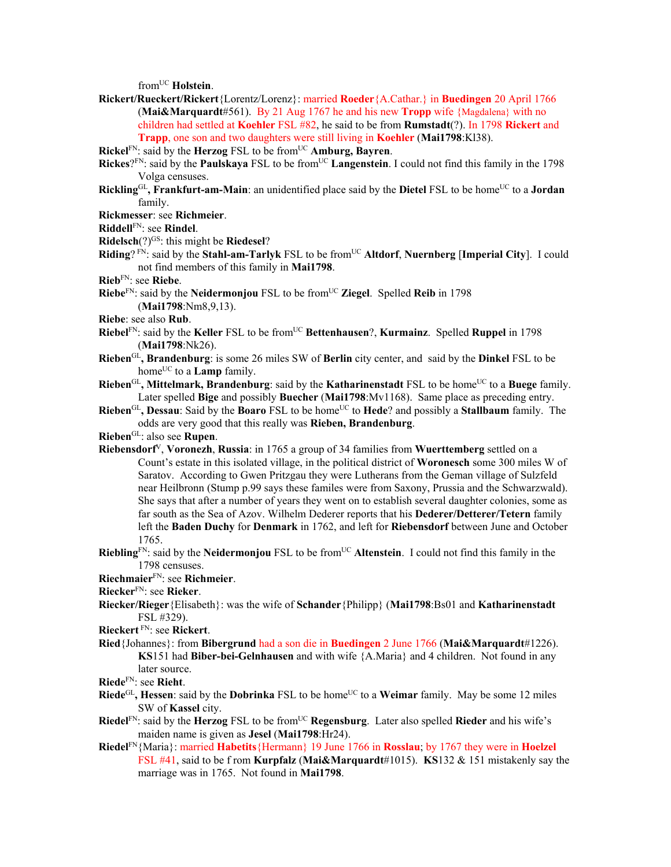fromUC **Holstein**.

- **Rickert/Rueckert/Rickert**{Lorentz/Lorenz}: married **Roeder**{A.Cathar.} in **Buedingen** 20 April 1766 (**Mai&Marquardt**#561). By 21 Aug 1767 he and his new **Tropp** wife {Magdalena} with no children had settled at **Koehler** FSL #82, he said to be from **Rumstadt**(?). In 1798 **Rickert** and **Trapp**, one son and two daughters were still living in **Koehler** (**Mai1798**:Kl38).
- **Rickel**FN: said by the **Herzog** FSL to be from<sup>UC</sup> **Amburg, Bayren**.
- **Rickes**?<sup>FN</sup>: said by the **Paulskaya** FSL to be from<sup>UC</sup> **Langenstein**. I could not find this family in the 1798 Volga censuses.
- **Rickling**<sup>GL</sup>, Frankfurt-am-Main: an unidentified place said by the Dietel FSL to be home<sup>UC</sup> to a Jordan family.

**Rickmesser**: see **Richmeier**.

**Riddell**FN: see **Rindel**.

- **Ridelsch**(?)<sup>GS</sup>: this might be **Riedesel**?
- **Riding**? FN: said by the **Stahl-am-Tarlyk** FSL to be fromUC **Altdorf**, **Nuernberg** [**Imperial City**]. I could not find members of this family in **Mai1798**.
- **Rieb**FN: see **Riebe**.
- **Riebe**<sup>FN</sup>: said by the **Neidermonjou** FSL to be from<sup>UC</sup> **Ziegel**. Spelled **Reib** in 1798 (**Mai1798**:Nm8,9,13).
- **Riebe**: see also **Rub**.
- **Riebel**<sup>FN</sup>: said by the **Keller** FSL to be from<sup>UC</sup> **Bettenhausen**?, **Kurmainz**. Spelled **Ruppel** in 1798 (**Mai1798**:Nk26).
- **Rieben**GL**, Brandenburg**: is some 26 miles SW of **Berlin** city center, and said by the **Dinkel** FSL to be home<sup>UC</sup> to a **Lamp** family.
- **Rieben**<sup>GL</sup>, Mittelmark, Brandenburg: said by the **Katharinenstadt** FSL to be home<sup>UC</sup> to a Buege family. Later spelled **Bige** and possibly **Buecher** (**Mai1798**:Mv1168). Same place as preceding entry.
- **Rieben**<sup>GL</sup>, Dessau: Said by the **Boaro** FSL to be home<sup>UC</sup> to **Hede**? and possibly a **Stallbaum** family. The odds are very good that this really was **Rieben, Brandenburg**.
- **Rieben**GL: also see **Rupen**.
- **Riebensdorf**V, **Voronezh**, **Russia**: in 1765 a group of 34 families from **Wuerttemberg** settled on a Count's estate in this isolated village, in the political district of **Woronesch** some 300 miles W of Saratov. According to Gwen Pritzgau they were Lutherans from the Geman village of Sulzfeld near Heilbronn (Stump p.99 says these familes were from Saxony, Prussia and the Schwarzwald). She says that after a number of years they went on to establish several daughter colonies, some as far south as the Sea of Azov. Wilhelm Dederer reports that his **Dederer/Detterer/Tetern** family left the **Baden Duchy** for **Denmark** in 1762, and left for **Riebensdorf** between June and October 1765.
- **Riebling**<sup>FN</sup>: said by the **Neidermonjou** FSL to be from<sup>UC</sup> **Altenstein**. I could not find this family in the 1798 censuses.
- **Riechmaier**FN: see **Richmeier**.
- **Riecker**FN: see **Rieker**.
- **Riecker/Rieger**{Elisabeth}: was the wife of **Schander**{Philipp} (**Mai1798**:Bs01 and **Katharinenstadt**  FSL #329).
- **Rieckert** FN: see **Rickert**.
- **Ried**{Johannes}: from **Bibergrund** had a son die in **Buedingen** 2 June 1766 (**Mai&Marquardt**#1226). **KS**151 had **Biber-bei-Gelnhausen** and with wife {A.Maria} and 4 children. Not found in any later source.
- **Riede**FN: see **Rieht**.
- **Riede**<sup>GL</sup>, **Hessen**: said by the **Dobrinka** FSL to be home<sup>UC</sup> to a **Weimar** family. May be some 12 miles SW of **Kassel** city.
- **Riedel**<sup>FN</sup>: said by the **Herzog** FSL to be from<sup>UC</sup> **Regensburg**. Later also spelled **Rieder** and his wife's maiden name is given as **Jesel** (**Mai1798**:Hr24).
- **Riedel**FN{Maria}: married **Habetits**{Hermann} 19 June 1766 in **Rosslau**; by 1767 they were in **Hoelzel** FSL #41, said to be f rom **Kurpfalz** (**Mai&Marquardt**#1015). **KS**132 & 151 mistakenly say the marriage was in 1765. Not found in **Mai1798**.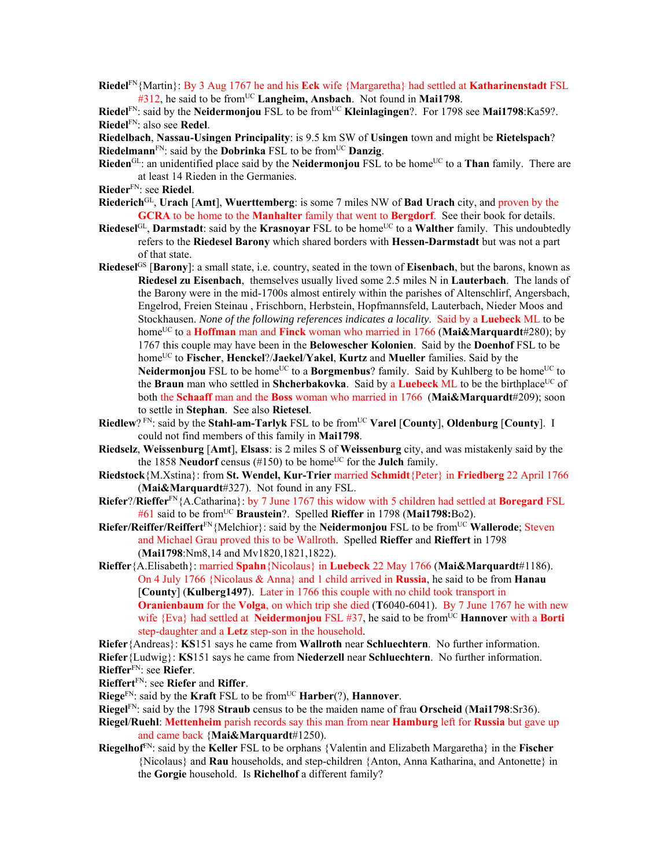**Riedel**FN{Martin}: By 3 Aug 1767 he and his **Eck** wife {Margaretha} had settled at **Katharinenstadt** FSL #312, he said to be from<sup>UC</sup> Langheim, Ansbach. Not found in Mai1798.

**Riedel**<sup>FN</sup>: said by the **Neidermonjou** FSL to be from<sup>UC</sup> **Kleinlagingen**?. For 1798 see **Mai1798**:Ka59?. **Riedel**FN: also see **Redel**.

**Riedelbach**, **Nassau-Usingen Principality**: is 9.5 km SW of **Usingen** town and might be **Rietelspach**? **Riedelmann**FN: said by the **Dobrinka** FSL to be fromUC **Danzig**.

- **Rieden**<sup>GL</sup>: an unidentified place said by the **Neidermonjou** FSL to be home<sup>UC</sup> to a **Than** family. There are at least 14 Rieden in the Germanies.
- **Rieder**FN: see **Riedel**.
- **Riederich**GL, **Urach** [**Amt**], **Wuerttemberg**: is some 7 miles NW of **Bad Urach** city, and proven by the **GCRA** to be home to the **Manhalter** family that went to **Bergdorf**. See their book for details.
- **Riedesel**<sup>GL</sup>, **Darmstadt**: said by the **Krasnovar** FSL to be home<sup>UC</sup> to a **Walther** family. This undoubtedly refers to the **Riedesel Barony** which shared borders with **Hessen-Darmstadt** but was not a part of that state.
- **Riedesel**GS [**Barony**]: a small state, i.e. country, seated in the town of **Eisenbach**, but the barons, known as **Riedesel zu Eisenbach**,themselves usually lived some 2.5 miles N in **Lauterbach**. The lands of the Barony were in the mid-1700s almost entirely within the parishes of Altenschlirf, Angersbach, Engelrod, Freien Steinau , Frischborn, Herbstein, Hopfmannsfeld, Lauterbach, Nieder Moos and Stockhausen. *None of the following references indicates a locality*. Said by a **Luebeck** ML to be home<sup>UC</sup> to a **Hoffman** man and **Finck** woman who married in 1766 (Mai&Marquardt#280); by 1767 this couple may have been in the **Belowescher Kolonien**. Said by the **Doenhof** FSL to be homeUC to **Fischer**, **Henckel**?/**Jaekel**/**Yakel**, **Kurtz** and **Mueller** families. Said by the **Neidermonjou** FSL to be home<sup>UC</sup> to a **Borgmenbus**? family. Said by Kuhlberg to be home<sup>UC</sup> to
	- the **Braun** man who settled in **Shcherbakovka**. Said by a **Luebeck** ML to be the birthplace<sup>UC</sup> of both the **Schaaff** man and the **Boss** woman who married in 1766 (**Mai&Marquardt**#209); soon to settle in **Stephan**. See also **Rietesel**.
- **Riedlew**? FN: said by the **Stahl-am-Tarlyk** FSL to be from<sup>UC</sup> Varel [County], Oldenburg [County]. I could not find members of this family in **Mai1798**.
- **Riedselz**, **Weissenburg** [**Amt**], **Elsass**: is 2 miles S of **Weissenburg** city, and was mistakenly said by the the 1858 **Neudorf** census (#150) to be home<sup>UC</sup> for the **Julch** family.
- **Riedstock**{M.Xstina}: from **St. Wendel, Kur-Trier** married **Schmidt**{Peter} in **Friedberg** 22 April 1766 (**Mai&Marquardt**#327). Not found in any FSL.
- **Riefer**?/**Rieffer**FN{A.Catharina}: by 7 June 1767 this widow with 5 children had settled at **Boregard** FSL #61 said to be fromUC **Braustein**?. Spelled **Rieffer** in 1798 (**Mai1798:**Bo2).
- **Riefer/Reiffer/Reiffert**<sup>FN</sup>{Melchior}: said by the **Neidermonjou** FSL to be from<sup>UC</sup> **Wallerode**; Steven and Michael Grau proved this to be Wallroth. Spelled **Rieffer** and **Rieffert** in 1798 (**Mai1798**:Nm8,14 and Mv1820,1821,1822).
- **Rieffer**{A.Elisabeth}: married **Spahn**{Nicolaus} in **Luebeck** 22 May 1766 (**Mai&Marquardt**#1186). On 4 July 1766 {Nicolaus & Anna} and 1 child arrived in **Russia**, he said to be from **Hanau**  [**County**] (**Kulberg1497**). Later in 1766 this couple with no child took transport in **Oranienbaum** for the **Volga**, on which trip she died (**T**6040-6041). By 7 June 1767 he with new wife  ${Eva}$  had settled at **Neidermoniou** FSL #37, he said to be from<sup>UC</sup> **Hannover** with a **Borti** step-daughter and a **Letz** step-son in the household.
- **Riefer**{Andreas}: **KS**151 says he came from **Wallroth** near **Schluechtern**. No further information.
- **Riefer**{Ludwig}: **KS**151 says he came from **Niederzell** near **Schluechtern**. No further information. **Rieffer**FN: see **Riefer**.
- **Rieffert**FN: see **Riefer** and **Riffer**.
- **Riege**<sup>FN</sup>: said by the **Kraft** FSL to be from<sup>UC</sup> **Harber**(?), **Hannover**.
- **Riegel**FN: said by the 1798 **Straub** census to be the maiden name of frau **Orscheid** (**Mai1798**:Sr36).
- **Riegel**/**Ruehl**: **Mettenheim** parish records say this man from near **Hamburg** left for **Russia** but gave up and came back {**Mai&Marquardt**#1250).
- **Riegelhof**FN: said by the **Keller** FSL to be orphans {Valentin and Elizabeth Margaretha} in the **Fischer** {Nicolaus} and **Rau** households, and step-children {Anton, Anna Katharina, and Antonette} in the **Gorgie** household. Is **Richelhof** a different family?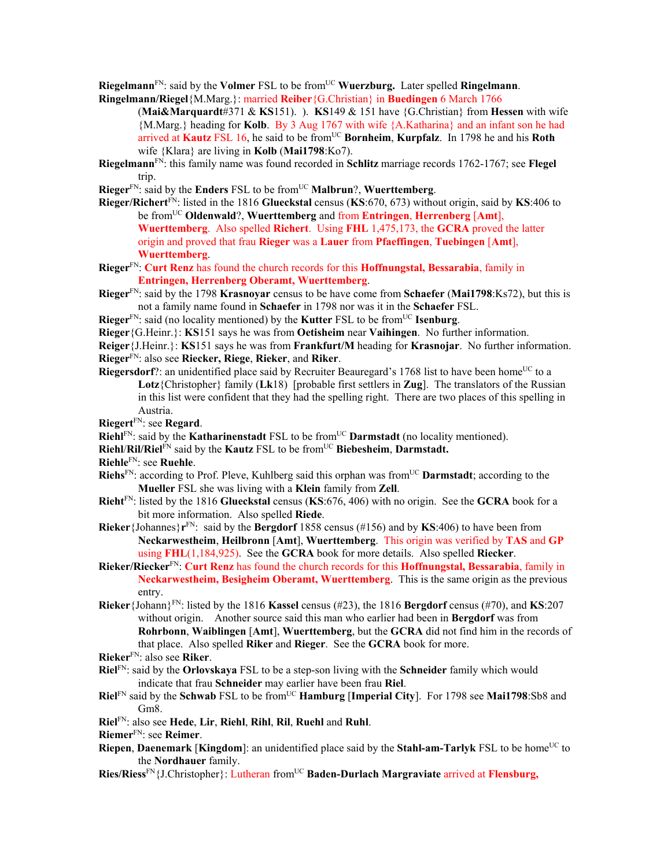**Riegelmann**<sup>FN</sup>: said by the **Volmer** FSL to be from<sup>UC</sup> **Wuerzburg.** Later spelled **Ringelmann**. **Ringelmann/Riegel**{M.Marg.}: married **Reiber**{G.Christian} in **Buedingen** 6 March 1766

- (**Mai&Marquardt**#371 & **KS**151). ). **KS**149 & 151 have {G.Christian} from **Hessen** with wife {M.Marg.} heading for **Kolb**. By 3 Aug 1767 with wife {A.Katharina} and an infant son he had arrived at **Kautz** FSL 16, he said to be from<sup>UC</sup> Bornheim, **Kurpfalz**. In 1798 he and his **Roth** wife {Klara} are living in **Kolb** (**Mai1798**:Ko7).
- **Riegelmann**FN: this family name was found recorded in **Schlitz** marriage records 1762-1767; see **Flegel** trip.
- **Rieger**FN: said by the **Enders** FSL to be fromUC **Malbrun**?, **Wuerttemberg**.
- **Rieger/Richert**FN: listed in the 1816 **Glueckstal** census (**KS**:670, 673) without origin, said by **KS**:406 to be fromUC **Oldenwald**?, **Wuerttemberg** and from **Entringen**, **Herrenberg** [**Amt**], **Wuerttemberg**. Also spelled **Richert**. Using **FHL** 1,475,173, the **GCRA** proved the latter origin and proved that frau **Rieger** was a **Lauer** from **Pfaeffingen**, **Tuebingen** [**Amt**], **Wuerttemberg**.
- **Rieger**FN: **Curt Renz** has found the church records for this **Hoffnungstal, Bessarabia**, family in **Entringen, Herrenberg Oberamt, Wuerttemberg**.
- **Rieger**FN: said by the 1798 **Krasnoyar** census to be have come from **Schaefer** (**Mai1798**:Ks72), but this is not a family name found in **Schaefer** in 1798 nor was it in the **Schaefer** FSL.
- **Rieger**<sup>FN</sup>: said (no locality mentioned) by the **Kutter** FSL to be from<sup>UC</sup> **Isenburg**.
- **Rieger**{G.Heinr.}: **KS**151 says he was from **Oetisheim** near **Vaihingen**. No further information.
- **Reiger**{J.Heinr.}: **KS**151 says he was from **Frankfurt/M** heading for **Krasnojar**. No further information. **Rieger**FN: also see **Riecker, Riege**, **Rieker**, and **Riker**.
- **Riegersdorf**?: an unidentified place said by Recruiter Beauregard's 1768 list to have been home<sup>UC</sup> to a **Lotz**{Christopher} family (**Lk**18) [probable first settlers in **Zug**]. The translators of the Russian in this list were confident that they had the spelling right. There are two places of this spelling in Austria.
- **Riegert**FN: see **Regard**.
- **Riehl**<sup>FN</sup>: said by the **Katharinenstadt** FSL to be from<sup>UC</sup> **Darmstadt** (no locality mentioned).
- **Riehl**/**Ril/Riel**FN said by the **Kautz** FSL to be fromUC **Biebesheim**, **Darmstadt.**
- **Riehle**FN: see **Ruehle**.
- **Riehs**<sup>FN</sup>: according to Prof. Pleve, Kuhlberg said this orphan was from<sup>UC</sup> **Darmstadt**; according to the **Mueller** FSL she was living with a **Klein** family from **Zell**.
- **Rieht**FN: listed by the 1816 **Glueckstal** census (**KS**:676, 406) with no origin. See the **GCRA** book for a bit more information. Also spelled **Riede**.
- **Rieker**{Johannes}**r**FN: said by the **Bergdorf** 1858 census (#156) and by **KS**:406) to have been from **Neckarwestheim**, **Heilbronn** [**Amt**], **Wuerttemberg**. This origin was verified by **TAS** and **GP** using **FHL**(1,184,925). See the **GCRA** book for more details. Also spelled **Riecker**.
- **Rieker/Riecker**FN: **Curt Renz** has found the church records for this **Hoffnungstal, Bessarabia**, family in **Neckarwestheim, Besigheim Oberamt, Wuerttemberg**. This is the same origin as the previous entry.
- **Rieker**{Johann}FN: listed by the 1816 **Kassel** census (#23), the 1816 **Bergdorf** census (#70), and **KS**:207 without origin. Another source said this man who earlier had been in **Bergdorf** was from **Rohrbonn**, **Waiblingen** [**Amt**], **Wuerttemberg**, but the **GCRA** did not find him in the records of that place. Also spelled **Riker** and **Rieger**. See the **GCRA** book for more.
- **Rieker**FN: also see **Riker**.
- **Riel**FN: said by the **Orlovskaya** FSL to be a step-son living with the **Schneider** family which would indicate that frau **Schneider** may earlier have been frau **Riel**.
- **Riel**FN said by the **Schwab** FSL to be fromUC **Hamburg** [**Imperial City**]. For 1798 see **Mai1798**:Sb8 and Gm8.
- **Riel**FN: also see **Hede**, **Lir**, **Riehl**, **Rihl**, **Ril**, **Ruehl** and **Ruhl**.
- **Riemer**FN: see **Reimer**.
- **Riepen**, **Daenemark** [**Kingdom**]: an unidentified place said by the **Stahl-am-Tarlyk** FSL to be home<sup>UC</sup> to the **Nordhauer** family.
- Ries/Riess<sup>FN</sup>{J.Christopher}: Lutheran from<sup>UC</sup> **Baden-Durlach Margraviate** arrived at **Flensburg**,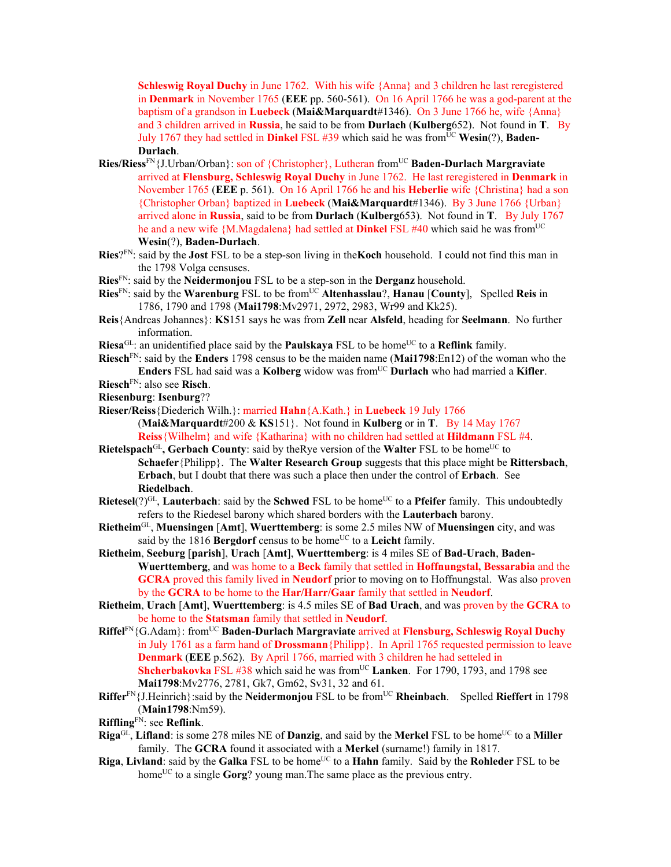**Schleswig Royal Duchy** in June 1762. With his wife {Anna} and 3 children he last reregistered in **Denmark** in November 1765 (**EEE** pp. 560-561). On 16 April 1766 he was a god-parent at the baptism of a grandson in **Luebeck** (**Mai&Marquardt**#1346). On 3 June 1766 he, wife {Anna} and 3 children arrived in **Russia**, he said to be from **Durlach** (**Kulberg**652). Not found in **T**. By July 1767 they had settled in **Dinkel** FSL #39 which said he was from<sup>UC</sup> Wesin(?), **Baden-Durlach**.

- **Ries/Riess**FN{J.Urban/Orban}: son of {Christopher}, Lutheran fromUC **Baden-Durlach Margraviate** arrived at **Flensburg, Schleswig Royal Duchy** in June 1762. He last reregistered in **Denmark** in November 1765 (**EEE** p. 561). On 16 April 1766 he and his **Heberlie** wife {Christina} had a son {Christopher Orban} baptized in **Luebeck** (**Mai&Marquardt**#1346). By 3 June 1766 {Urban} arrived alone in **Russia**, said to be from **Durlach** (**Kulberg**653). Not found in **T**. By July 1767 he and a new wife {M.Magdalena} had settled at **Dinkel** FSL #40 which said he was from<sup>UC</sup> **Wesin**(?), **Baden-Durlach**.
- **Ries**?FN: said by the **Jost** FSL to be a step-son living in the**Koch** household. I could not find this man in the 1798 Volga censuses.
- **Ries**FN: said by the **Neidermonjou** FSL to be a step-son in the **Derganz** household.
- Ries<sup>FN</sup>: said by the Warenburg FSL to be from<sup>UC</sup> Altenhasslau?, Hanau [County], Spelled Reis in 1786, 1790 and 1798 (**Mai1798**:Mv2971, 2972, 2983, Wr99 and Kk25).
- **Reis**{Andreas Johannes}: **KS**151 says he was from **Zell** near **Alsfeld**, heading for **Seelmann**. No further information.
- **Riesa**<sup>GL</sup>: an unidentified place said by the **Paulskaya** FSL to be home<sup>UC</sup> to a **Reflink** family.
- **Riesch**FN: said by the **Enders** 1798 census to be the maiden name (**Mai1798**:En12) of the woman who the **Enders** FSL had said was a **Kolberg** widow was fromUC **Durlach** who had married a **Kifler**.
- **Riesch**FN: also see **Risch**.
- **Riesenburg**: **Isenburg**??
- **Rieser/Reiss**{Diederich Wilh.}: married **Hahn**{A.Kath.} in **Luebeck** 19 July 1766
	- (**Mai&Marquardt**#200 & **KS**151}. Not found in **Kulberg** or in **T**. By 14 May 1767 **Reiss**{Wilhelm} and wife {Katharina} with no children had settled at **Hildmann** FSL #4.
- **Rietelspach**<sup>GL</sup>, Gerbach County: said by the Rye version of the Walter FSL to be home<sup>UC</sup> to **Schaefer**{Philipp}. The **Walter Research Group** suggests that this place might be **Rittersbach**, **Erbach**, but I doubt that there was such a place then under the control of **Erbach**. See **Riedelbach**.
- **Rietesel**(?)<sup>GL</sup>, **Lauterbach**: said by the **Schwed** FSL to be home<sup>UC</sup> to a **Pfeifer** family. This undoubtedly refers to the Riedesel barony which shared borders with the **Lauterbach** barony.
- **Rietheim**GL, **Muensingen** [**Amt**], **Wuerttemberg**: is some 2.5 miles NW of **Muensingen** city, and was said by the 1816 **Bergdorf** census to be home<sup>UC</sup> to a **Leicht** family.
- **Rietheim**, **Seeburg** [**parish**], **Urach** [**Amt**], **Wuerttemberg**: is 4 miles SE of **Bad-Urach**, **Baden-Wuerttemberg**, and was home to a **Beck** family that settled in **Hoffnungstal, Bessarabia** and the **GCRA** proved this family lived in **Neudorf** prior to moving on to Hoffnungstal. Was also proven by the **GCRA** to be home to the **Har/Harr/Gaar** family that settled in **Neudorf**.
- **Rietheim**, **Urach** [**Amt**], **Wuerttemberg**: is 4.5 miles SE of **Bad Urach**, and was proven by the **GCRA** to be home to the **Statsman** family that settled in **Neudorf**.
- **Riffel**FN{G.Adam}: fromUC **Baden-Durlach Margraviate** arrived at **Flensburg, Schleswig Royal Duchy** in July 1761 as a farm hand of **Drossmann**{Philipp}. In April 1765 requested permission to leave **Denmark** (**EEE** p.562). By April 1766, married with 3 children he had setteled in **Shcherbakovka** FSL #38 which said he was from<sup>UC</sup> Lanken. For 1790, 1793, and 1798 see **Mai1798**:Mv2776, 2781, Gk7, Gm62, Sv31, 32 and 61.
- **Riffer**<sup>FN</sup>{J.Heinrich}:said by the **Neidermonjou** FSL to be from<sup>UC</sup> **Rheinbach**. Spelled **Rieffert** in 1798 (**Main1798**:Nm59).
- **Riffling**FN: see **Reflink**.
- **Riga**<sup>GL</sup>, **Lifland**: is some 278 miles NE of **Danzig**, and said by the **Merkel** FSL to be home<sup>UC</sup> to a **Miller** family. The **GCRA** found it associated with a **Merkel** (surname!) family in 1817.
- **Riga**, **Livland**: said by the **Galka** FSL to be home<sup>UC</sup> to a **Hahn** family. Said by the **Rohleder** FSL to be home<sup>UC</sup> to a single **Gorg**? young man. The same place as the previous entry.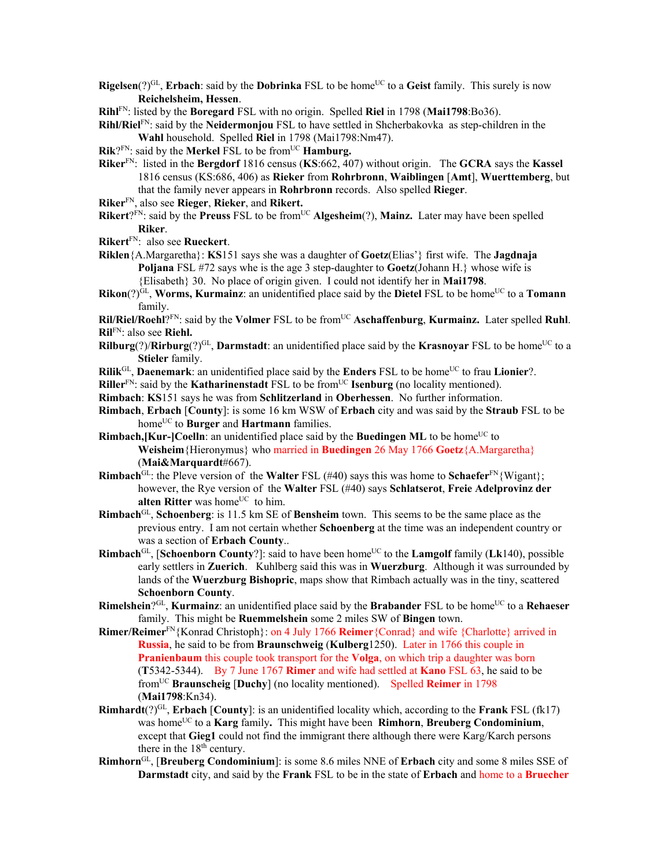- **Rigelsen**(?)<sup>GL</sup>, **Erbach**: said by the **Dobrinka** FSL to be home<sup>UC</sup> to a Geist family. This surely is now **Reichelsheim, Hessen**.
- **Rihl**FN: listed by the **Boregard** FSL with no origin. Spelled **Riel** in 1798 (**Mai1798**:Bo36).
- **Rihl/Riel**FN: said by the **Neidermonjou** FSL to have settled in Shcherbakovka as step-children in the **Wahl** household. Spelled **Riel** in 1798 (Mai1798:Nm47).
- **Rik**?FN: said by the **Merkel** FSL to be from<sup>UC</sup> **Hamburg.**
- **Riker**FN: listed in the **Bergdorf** 1816 census (**KS**:662, 407) without origin. The **GCRA** says the **Kassel** 1816 census (KS:686, 406) as **Rieker** from **Rohrbronn**, **Waiblingen** [**Amt**], **Wuerttemberg**, but that the family never appears in **Rohrbronn** records. Also spelled **Rieger**.
- **Riker**FN, also see **Rieger**, **Rieker**, and **Rikert.**
- **Rikert**?FN: said by the **Preuss** FSL to be from<sup>UC</sup> Algesheim(?), Mainz. Later may have been spelled **Riker**.
- **Rikert**FN: also see **Rueckert**.
- **Riklen**{A.Margaretha}: **KS**151 says she was a daughter of **Goetz**(Elias'} first wife. The **Jagdnaja Poljana** FSL #72 says whe is the age 3 step-daughter to **Goetz**(Johann H.} whose wife is {Elisabeth} 30. No place of origin given. I could not identify her in **Mai1798**.
- **Rikon**( $?$ )<sup>GL</sup>, **Worms, Kurmainz**: an unidentified place said by the **Dietel** FSL to be home<sup>UC</sup> to a **Tomann** family.

**Ril/Riel/Roehl**?FN: said by the **Volmer** FSL to be fromUC **Aschaffenburg**, **Kurmainz.** Later spelled **Ruhl**. **Ril**FN: also see **Riehl.** 

- **Rilburg**(?)/**Rirburg**(?)<sup>GL</sup>, **Darmstadt**: an unidentified place said by the **Krasnovar** FSL to be home<sup>UC</sup> to a **Stieler** family.
- **Rilik**<sup>GL</sup>, **Daenemark**: an unidentified place said by the **Enders** FSL to be home<sup>UC</sup> to frau **Lionier**?.
- **Riller**<sup>FN</sup>: said by the **Katharinenstadt** FSL to be from<sup>UC</sup> **Isenburg** (no locality mentioned).
- **Rimbach**: **KS**151 says he was from **Schlitzerland** in **Oberhessen**. No further information.
- **Rimbach**, **Erbach** [**County**]: is some 16 km WSW of **Erbach** city and was said by the **Straub** FSL to be home<sup>UC</sup> to **Burger** and **Hartmann** families.
- **Rimbach, [Kur-]Coelln**: an unidentified place said by the **Buedingen ML** to be home<sup>UC</sup> to **Weisheim**{Hieronymus} who married in **Buedingen** 26 May 1766 **Goetz**{A.Margaretha} (**Mai&Marquardt**#667).
- **Rimbach**<sup>GL</sup>: the Pleve version of the **Walter** FSL (#40) says this was home to **Schaefer**<sup>FN</sup>{Wigant}; however, the Rye version of the **Walter** FSL (#40) says **Schlatserot**, **Freie Adelprovinz der alten Ritter** was home<sup>UC</sup> to him.
- **Rimbach**GL, **Schoenberg**: is 11.5 km SE of **Bensheim** town. This seems to be the same place as the previous entry. I am not certain whether **Schoenberg** at the time was an independent country or was a section of **Erbach County**..
- **Rimbach**<sup>GL</sup>, [**Schoenborn County**?]: said to have been home<sup>UC</sup> to the **Lamgolf** family (**Lk**140), possible early settlers in **Zuerich**. Kuhlberg said this was in **Wuerzburg**. Although it was surrounded by lands of the **Wuerzburg Bishopric**, maps show that Rimbach actually was in the tiny, scattered **Schoenborn County**.
- **Rimelshein**?GL, **Kurmainz**: an unidentified place said by the **Brabander** FSL to be home<sup>UC</sup> to a **Rehaeser** family. This might be **Ruemmelshein** some 2 miles SW of **Bingen** town.
- **Rimer/Reimer**FN{Konrad Christoph}: on 4 July 1766 **Reimer**{Conrad} and wife {Charlotte} arrived in **Russia**, he said to be from **Braunschweig** (**Kulberg**1250). Later in 1766 this couple in **Pranienbaum** this couple took transport for the **Volga**, on which trip a daughter was born (**T**5342-5344). By 7 June 1767 **Rimer** and wife had settled at **Kano** FSL 63, he said to be fromUC **Braunscheig** [**Duchy**] (no locality mentioned). Spelled **Reimer** in 1798 (**Mai1798**:Kn34).
- **Rimhardt**(?)<sup>GL</sup>, **Erbach** [**County**]: is an unidentified locality which, according to the **Frank** FSL (fk17) was homeUC to a **Karg** family**.** This might have been **Rimhorn**, **Breuberg Condominium**, except that **Gieg1** could not find the immigrant there although there were Karg/Karch persons there in the 18<sup>th</sup> century.
- **Rimhorn**GL, [**Breuberg Condominium**]: is some 8.6 miles NNE of **Erbach** city and some 8 miles SSE of **Darmstadt** city, and said by the **Frank** FSL to be in the state of **Erbach** and home to a **Bruecher**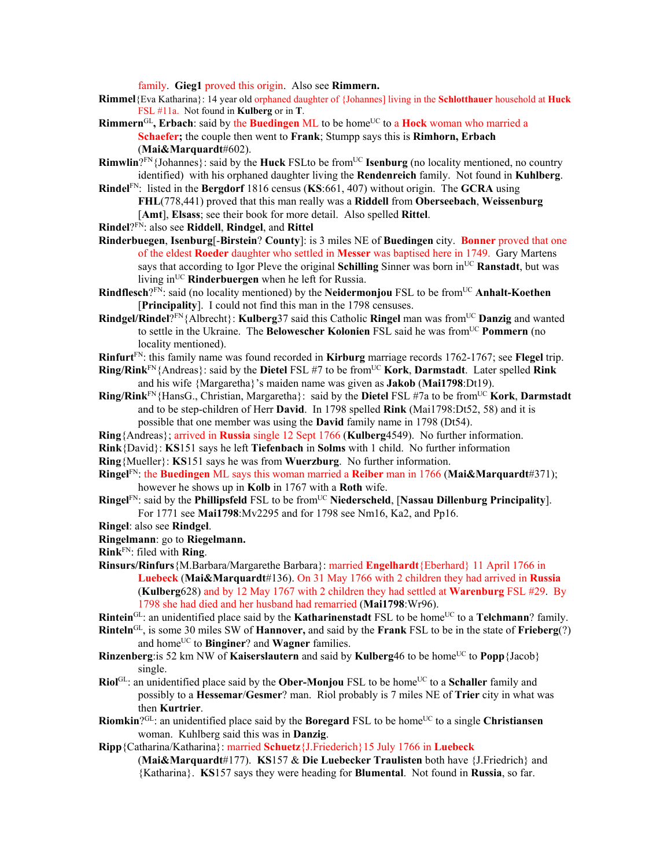family. **Gieg1** proved this origin. Also see **Rimmern.** 

- **Rimmel**{Eva Katharina}: 14 year old orphaned daughter of {Johannes] living in the **Schlotthauer** household at **Huck**  FSL #11a. Not found in **Kulberg** or in **T**.
- **Rimmern**<sup>GL</sup>, Erbach: said by the **Buedingen** ML to be home<sup>UC</sup> to a **Hock** woman who married a **Schaefer;** the couple then went to **Frank**; Stumpp says this is **Rimhorn, Erbach**  (**Mai&Marquardt**#602).
- **Rimwlin**?<sup>FN</sup>{Johannes}: said by the **Huck** FSLto be from<sup>UC</sup> **Isenburg** (no locality mentioned, no country identified) with his orphaned daughter living the **Rendenreich** family. Not found in **Kuhlberg**.
- **Rindel**FN: listed in the **Bergdorf** 1816 census (**KS**:661, 407) without origin. The **GCRA** using **FHL**(778,441) proved that this man really was a **Riddell** from **Oberseebach**, **Weissenburg** [**Amt**], **Elsass**; see their book for more detail. Also spelled **Rittel**.
- **Rindel**?FN: also see **Riddell**, **Rindgel**, and **Rittel**
- **Rinderbuegen**, **Isenburg**[-**Birstein**? **County**]: is 3 miles NE of **Buedingen** city. **Bonner** proved that one of the eldest **Roeder** daughter who settled in **Messer** was baptised here in 1749. Gary Martens says that according to Igor Pleve the original **Schilling** Sinner was born in<sup>UC</sup> **Ranstadt**, but was living in<sup>UC</sup> **Rinderbuergen** when he left for Russia.
- **Rindflesch**?FN: said (no locality mentioned) by the **Neidermonjou** FSL to be from<sup>UC</sup> Anhalt-Koethen [**Principality**]. I could not find this man in the 1798 censuses.
- **Rindgel/Rindel**?FN{Albrecht}: **Kulberg**37 said this Catholic **Ringel** man was fromUC **Danzig** and wanted to settle in the Ukraine. The **Belowescher Kolonien** FSL said he was from<sup>UC</sup> **Pommern** (no locality mentioned).
- **Rinfurt**FN: this family name was found recorded in **Kirburg** marriage records 1762-1767; see **Flegel** trip.
- **Ring/Rink**<sup>FN</sup>{Andreas}: said by the **Dietel** FSL #7 to be from<sup>UC</sup> **Kork**, **Darmstadt**. Later spelled **Rink** and his wife {Margaretha}'s maiden name was given as **Jakob** (**Mai1798**:Dt19).
- **Ring/Rink**<sup>FN</sup>{HansG., Christian, Margaretha}: said by the **Dietel** FSL #7a to be from<sup>UC</sup> **Kork**, **Darmstadt** and to be step-children of Herr **David**. In 1798 spelled **Rink** (Mai1798:Dt52, 58) and it is possible that one member was using the **David** family name in 1798 (Dt54).
- **Ring**{Andreas}; arrived in **Russia** single 12 Sept 1766 (**Kulberg**4549). No further information.
- **Rink**{David}: **KS**151 says he left **Tiefenbach** in **Solms** with 1 child. No further information
- **Ring**{Mueller}: **KS**151 says he was from **Wuerzburg**. No further information.
- **Ringel**FN: the **Buedingen** ML says this woman married a **Reiber** man in 1766 (**Mai&Marquardt**#371); however he shows up in **Kolb** in 1767 with a **Roth** wife.
- **Ringel**<sup>FN</sup>: said by the **Phillipsfeld** FSL to be from<sup>UC</sup> **Niederscheld**, [**Nassau Dillenburg Principality**]. For 1771 see **Mai1798**:Mv2295 and for 1798 see Nm16, Ka2, and Pp16.
- **Ringel**: also see **Rindgel**.
- **Ringelmann**: go to **Riegelmann.**
- **Rink**FN: filed with **Ring**.
- **Rinsurs/Rinfurs**{M.Barbara/Margarethe Barbara}: married **Engelhardt**{Eberhard} 11 April 1766 in **Luebeck** (**Mai&Marquardt**#136). On 31 May 1766 with 2 children they had arrived in **Russia** (**Kulberg**628) and by 12 May 1767 with 2 children they had settled at **Warenburg** FSL #29. By 1798 she had died and her husband had remarried (**Mai1798**:Wr96).
- **Rintein**<sup>GL</sup>: an unidentified place said by the **Katharinenstadt** FSL to be home<sup>UC</sup> to a **Telchmann**? family.
- **Rinteln**GL, is some 30 miles SW of **Hannover,** and said by the **Frank** FSL to be in the state of **Frieberg**(?) and home<sup>UC</sup> to **Binginer**? and **Wagner** families.
- **Rinzenberg**: is 52 km NW of **Kaiserslautern** and said by **Kulberg**46 to be home<sup>UC</sup> to **Popp**{Jacob} single.
- **Riol**<sup>GL</sup>: an unidentified place said by the **Ober-Monjou** FSL to be home<sup>UC</sup> to a **Schaller** family and possibly to a **Hessemar**/**Gesmer**? man. Riol probably is 7 miles NE of **Trier** city in what was then **Kurtrier**.
- **Riomkin**?<sup>GL</sup>: an unidentified place said by the **Boregard** FSL to be home<sup>UC</sup> to a single **Christiansen** woman. Kuhlberg said this was in **Danzig**.
- **Ripp**{Catharina/Katharina}: married **Schuetz**{J.Friederich}15 July 1766 in **Luebeck**

(**Mai&Marquardt**#177). **KS**157 & **Die Luebecker Traulisten** both have {J.Friedrich} and {Katharina}. **KS**157 says they were heading for **Blumental**. Not found in **Russia**, so far.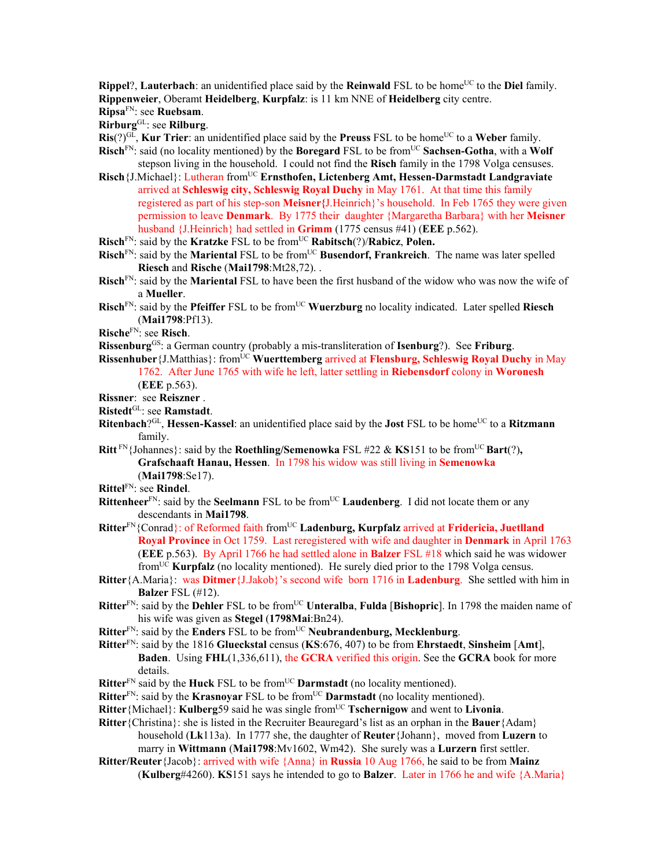**Rippel**?, **Lauterbach**: an unidentified place said by the **Reinwald** FSL to be home<sup>UC</sup> to the **Diel** family. **Rippenweier**, Oberamt **Heidelberg**, **Kurpfalz**: is 11 km NNE of **Heidelberg** city centre. **Ripsa**FN: see **Ruebsam**.

**Rirburg**GL: see **Rilburg**.

**Ris**(?)<sup>GL</sup>, **Kur Trier**: an unidentified place said by the **Preuss** FSL to be home<sup>UC</sup> to a **Weber** family.

- **Risch**<sup>FN</sup>: said (no locality mentioned) by the **Boregard** FSL to be from<sup>UC</sup> **Sachsen-Gotha**, with a **Wolf** stepson living in the household. I could not find the **Risch** family in the 1798 Volga censuses.
- Risch {J.Michael}: Lutheran from<sup>UC</sup> **Ernsthofen, Lictenberg Amt, Hessen-Darmstadt Landgraviate** arrived at **Schleswig city, Schleswig Royal Duchy** in May 1761. At that time this family registered as part of his step-son **Meisner{**J.Heinrich}'s household. In Feb 1765 they were given permission to leave **Denmark**. By 1775 their daughter {Margaretha Barbara} with her **Meisner** husband {J.Heinrich} had settled in **Grimm** (1775 census #41) (**EEE** p.562).
- **Risch**<sup>FN</sup>: said by the **Kratzke** FSL to be from<sup>UC</sup> **Rabitsch**(?)/**Rabicz**, **Polen.**
- **Risch**<sup>FN</sup>: said by the **Mariental** FSL to be from<sup>UC</sup> Busendorf, Frankreich. The name was later spelled **Riesch** and **Rische** (**Mai1798**:Mt28,72). .
- **Risch**FN: said by the **Mariental** FSL to have been the first husband of the widow who was now the wife of a **Mueller**.
- **Risch**<sup>FN</sup>: said by the **Pfeiffer** FSL to be from<sup>UC</sup> Wuerzburg no locality indicated. Later spelled Riesch (**Mai1798**:Pf13).
- **Rische**FN: see **Risch**.
- **Rissenburg**GS: a German country (probably a mis-transliteration of **Isenburg**?). See **Friburg**.
- **Rissenhuber**{J.Matthias}: fromUC **Wuerttemberg** arrived at **Flensburg, Schleswig Royal Duchy** in May 1762. After June 1765 with wife he left, latter settling in **Riebensdorf** colony in **Woronesh** (**EEE** p.563).
- **Rissner**: see **Reiszner** .
- **Ristedt**GL: see **Ramstadt**.
- **Ritenbach**?<sup>GL</sup>, **Hessen-Kassel**: an unidentified place said by the **Jost** FSL to be home<sup>UC</sup> to a **Ritzmann** family.
- **Ritt**<sup>FN</sup>{Johannes}: said by the **Roethling/Semenowka** FSL #22 & **KS**151 to be from<sup>UC</sup> **Bart**(?), **Grafschaaft Hanau, Hessen**. In 1798 his widow was still living in **Semenowka** (**Mai1798**:Se17).
- **Rittel**FN: see **Rindel**.
- **Rittenheer**<sup>FN</sup>: said by the **Seelmann** FSL to be from<sup>UC</sup> **Laudenberg**. I did not locate them or any descendants in **Mai1798**.
- **Ritter**FN{Conrad}: of Reformed faith fromUC **Ladenburg, Kurpfalz** arrived at **Fridericia, Juetlland Royal Province** in Oct 1759. Last reregistered with wife and daughter in **Denmark** in April 1763 (**EEE** p.563). By April 1766 he had settled alone in **Balzer** FSL #18 which said he was widower fromUC **Kurpfalz** (no locality mentioned). He surely died prior to the 1798 Volga census.
- **Ritter**{A.Maria}: was **Ditmer**{J.Jakob}'s second wife born 1716 in **Ladenburg**. She settled with him in **Balzer** FSL (#12).
- **Ritter**<sup>FN</sup>: said by the **Dehler** FSL to be from<sup>UC</sup> **Unteralba**, **Fulda** [Bishopric]. In 1798 the maiden name of his wife was given as **Stegel** (**1798Mai**:Bn24).
- **Ritter**<sup>FN</sup>: said by the **Enders** FSL to be from<sup>UC</sup> **Neubrandenburg, Mecklenburg**.
- **Ritter**FN: said by the 1816 **Glueckstal** census (**KS**:676, 407) to be from **Ehrstaedt**, **Sinsheim** [**Amt**], **Baden**. Using **FHL**(1,336,611), the **GCRA** verified this origin. See the **GCRA** book for more details.
- **Ritter**<sup>FN</sup> said by the **Huck** FSL to be from<sup>UC</sup> **Darmstadt** (no locality mentioned).
- **Ritter**<sup>FN</sup>: said by the **Krasnoyar** FSL to be from<sup>UC</sup> **Darmstadt** (no locality mentioned).
- **Ritter**{Michael}: **Kulberg**59 said he was single fromUC **Tschernigow** and went to **Livonia**.
- **Ritter**{Christina}: she is listed in the Recruiter Beauregard's list as an orphan in the **Bauer**{Adam} household (**Lk**113a). In 1777 she, the daughter of **Reuter**{Johann}, moved from **Luzern** to marry in **Wittmann** (**Mai1798**:Mv1602, Wm42). She surely was a **Lurzern** first settler.
- **Ritter/Reuter**{Jacob}: arrived with wife {Anna} in **Russia** 10 Aug 1766, he said to be from **Mainz**  (**Kulberg**#4260). **KS**151 says he intended to go to **Balzer**. Later in 1766 he and wife {A.Maria}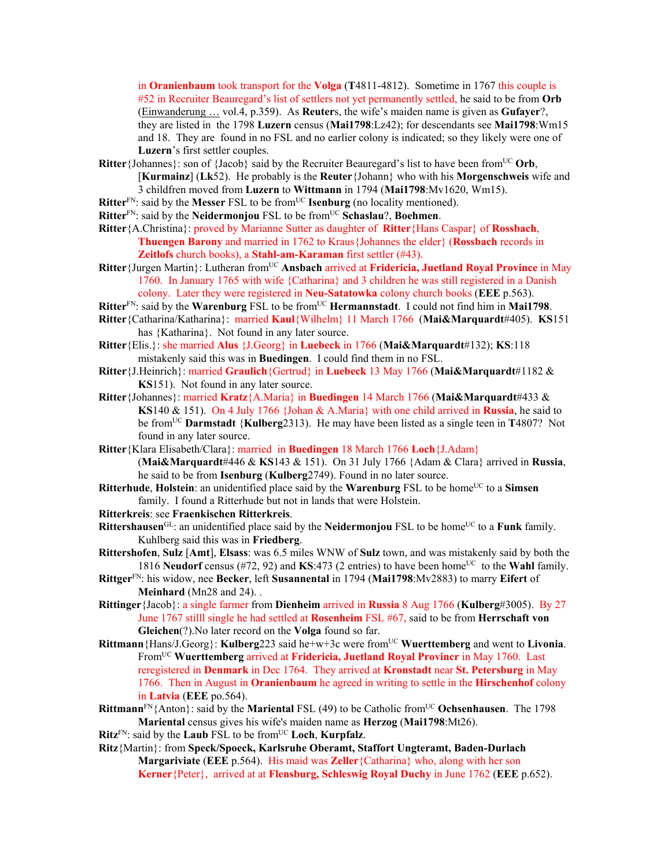in **Oranienbaum** took transport for the **Volga** (**T**4811-4812). Sometime in 1767 this couple is #52 in Recruiter Beauregard's list of settlers not yet permanently settled, he said to be from **Orb** (Einwanderung … vol.4, p.359). As **Reuter**s, the wife's maiden name is given as **Gufayer**?, they are listed in the 1798 **Luzern** census (**Mai1798**:Lz42); for descendants see **Mai1798**:Wm15 and 18. They are found in no FSL and no earlier colony is indicated; so they likely were one of **Luzern**'s first settler couples.

- **Ritter**{Johannes}: son of {Jacob} said by the Recruiter Beauregard's list to have been from<sup>UC</sup> Orb, [**Kurmainz**] (**Lk**52). He probably is the **Reuter**{Johann} who with his **Morgenschweis** wife and 3 childfren moved from **Luzern** to **Wittmann** in 1794 (**Mai1798**:Mv1620, Wm15).
- **Ritter**<sup>FN</sup>: said by the **Messer** FSL to be from<sup>UC</sup> **Isenburg** (no locality mentioned).
- **Ritter**<sup>FN</sup>: said by the **Neidermonjou** FSL to be from<sup>UC</sup> **Schaslau**?, **Boehmen**.
- **Ritter**{A.Christina}: proved by Marianne Sutter as daughter of **Ritter**{Hans Caspar} of **Rossbach**, **Thuengen Barony** and married in 1762 to Kraus{Johannes the elder} (**Rossbach** records in **Zeitlofs** church books), a **Stahl-am-Karaman** first settler (#43).
- **Ritter**{Jurgen Martin}: Lutheran from<sup>UC</sup> Ansbach arrived at **Fridericia, Juetland Royal Province** in May 1760. In January 1765 with wife {Catharina} and 3 children he was still registered in a Danish colony. Later they were registered in **Neu-Satatowka** colony church books (**EEE** p.563).
- Ritter<sup>FN</sup>: said by the Warenburg FSL to be from<sup>UC</sup> Hermannstadt. I could not find him in Mai1798.
- **Ritter**{Catharina/Katharina}: married **Kaul**{Wilhelm} 11 March 1766 (**Mai&Marquardt**#405). **KS**151 has {Katharina}. Not found in any later source.
- **Ritter**{Elis.}: she married **Alus** {J.Georg} in **Luebeck** in 1766 (**Mai&Marquardt**#132); **KS**:118 mistakenly said this was in **Buedingen**. I could find them in no FSL.
- **Ritter**{J.Heinrich}: married **Graulich**{Gertrud} in **Luebeck** 13 May 1766 (**Mai&Marquardt**#1182 & **KS**151). Not found in any later source.
- **Ritter**{Johannes}: married **Kratz**{A.Maria} in **Buedingen** 14 March 1766 (**Mai&Marquardt**#433 & **KS**140 & 151). On 4 July 1766 {Johan & A.Maria} with one child arrived in **Russia**, he said to be fromUC **Darmstadt** {**Kulberg**2313). He may have been listed as a single teen in **T**4807? Not found in any later source.
- **Ritter**{Klara Elisabeth/Clara}: married in **Buedingen** 18 March 1766 **Loch**{J.Adam}

(**Mai&Marquardt**#446 & **KS**143 & 151). On 31 July 1766 {Adam & Clara} arrived in **Russia**, he said to be from **Isenburg** (**Kulberg**2749). Found in no later source.

- **Ritterhude**, **Holstein**: an unidentified place said by the **Warenburg** FSL to be home<sup>UC</sup> to a **Simsen** family. I found a Ritterhude but not in lands that were Holstein.
- **Ritterkreis**: see **Fraenkischen Ritterkreis**.
- **Rittershausen**<sup>GL</sup>: an unidentified place said by the **Neidermonjou** FSL to be home<sup>UC</sup> to a **Funk** family. Kuhlberg said this was in **Friedberg**.
- **Rittershofen**, **Sulz** [**Amt**], **Elsass**: was 6.5 miles WNW of **Sulz** town, and was mistakenly said by both the 1816 **Neudorf** census (#72, 92) and **KS**:473 (2 entries) to have been home<sup>UC</sup> to the **Wahl** family.
- **Rittger**FN: his widow, nee **Becker**, left **Susannental** in 1794 (**Mai1798**:Mv2883) to marry **Eifert** of **Meinhard** (Mn28 and 24). .
- **Rittinger**{Jacob}: a single farmer from **Dienheim** arrived in **Russia** 8 Aug 1766 (**Kulberg**#3005). By 27 June 1767 stilll single he had settled at **Rosenheim** FSL #67, said to be from **Herrschaft von Gleichen**(?).No later record on the **Volga** found so far.
- **Rittmann**{Hans/J.Georg}: **Kulberg**223 said he+w+3c were from<sup>UC</sup> Wuerttemberg and went to Livonia. FromUC **Wuerttemberg** arrived at **Fridericia, Juetland Royal Provincr** in May 1760. Last reregistered in **Denmark** in Dec 1764. They arrived at **Kronstadt** near **St. Petersburg** in May 1766. Then in August in **Oranienbaum** he agreed in writing to settle in the **Hirschenhof** colony in **Latvia** (**EEE** po.564).
- **Rittmann**<sup>FN</sup>{Anton}: said by the **Mariental** FSL (49) to be Catholic from<sup>UC</sup> Ochsenhausen. The 1798 **Mariental** census gives his wife's maiden name as **Herzog** (**Mai1798**:Mt26).
- **Ritz**FN: said by the **Laub** FSL to be fromUC **Loch**, **Kurpfalz**.
- **Ritz**{Martin}: from **Speck/Spoeck, Karlsruhe Oberamt, Staffort Ungteramt, Baden-Durlach Margariviate** (**EEE** p.564). His maid was **Zeller**{Catharina} who, along with her son **Kerner**{Peter}, arrived at at **Flensburg, Schleswig Royal Duchy** in June 1762 (**EEE** p.652).